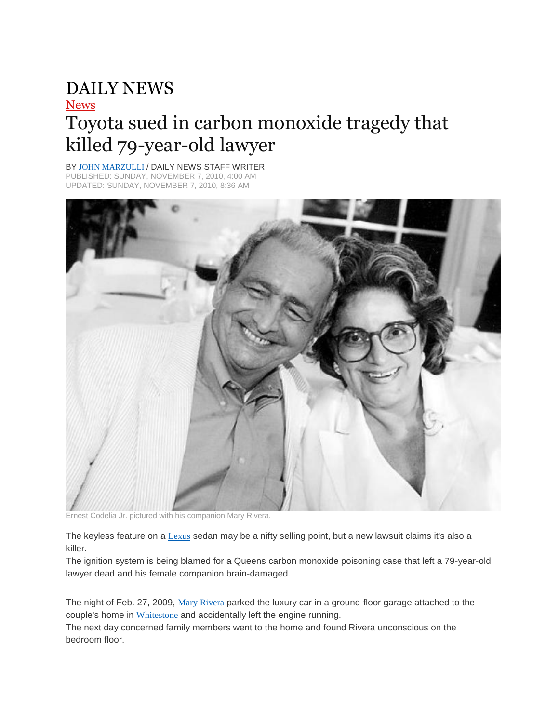## [DAILY](http://www.nydailynews.com/) NEWS

## **[News](http://www.nydailynews.com/news)**

## Toyota sued in carbon monoxide tragedy that killed 79-year-old lawyer

BY JOHN [MARZULLI](http://www.nydailynews.com/authors?author=John%20Marzulli) / DAILY NEWS STAFF WRITER PUBLISHED: SUNDAY, NOVEMBER 7, 2010, 4:00 AM DATED: SUNDAY, NOVEMBER 7, 2010, 8:36 AM



Ernest Codelia Jr. pictured with his companion Mary Rivera.

The keyless feature on a [Lexus](http://www.nydailynews.com/topics/Lexus+Motor+Company) sedan may be a nifty selling point, but a new lawsuit claims it's also a killer.

The ignition system is being blamed for a Queens carbon monoxide poisoning case that left a 79-year-old lawyer dead and his female companion brain-damaged.

The night of Feb. 27, 2009, Mary [Rivera](http://www.nydailynews.com/topics/Mary+Rivera) parked the luxury car in a ground-floor garage attached to the couple's home in [Whitestone](http://www.nydailynews.com/topics/Whitestone+(New+York)) and accidentally left the engine running.

The next day concerned family members went to the home and found Rivera unconscious on the bedroom floor.